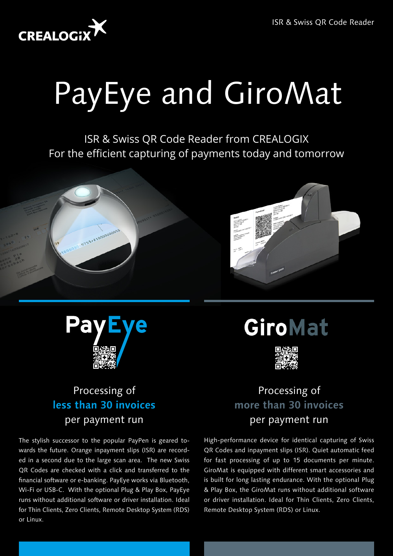

# PayEye and GiroMat

ISR & Swiss QR Code Reader from CREALOGIX For the efficient capturing of payments today and tomorrow





# Processing of **less than 30 invoices** per payment run

The stylish successor to the popular PayPen is geared towards the future. Orange inpayment slips (ISR) are recorded in a second due to the large scan area. The new Swiss QR Codes are checked with a click and transferred to the financial software or e-banking. PayEye works via Bluetooth, Wi-Fi or USB-C. With the optional Plug & Play Box, PayEye runs without additional software or driver installation. Ideal for Thin Clients, Zero Clients, Remote Desktop System (RDS) or Linux.

GiroMat



# Processing of **more than 30 invoices** per payment run

High-performance device for identical capturing of Swiss QR Codes and inpayment slips (ISR). Quiet automatic feed for fast processing of up to 15 documents per minute. GiroMat is equipped with different smart accessories and is built for long lasting endurance. With the optional Plug & Play Box, the GiroMat runs without additional software or driver installation. Ideal for Thin Clients, Zero Clients, Remote Desktop System (RDS) or Linux.